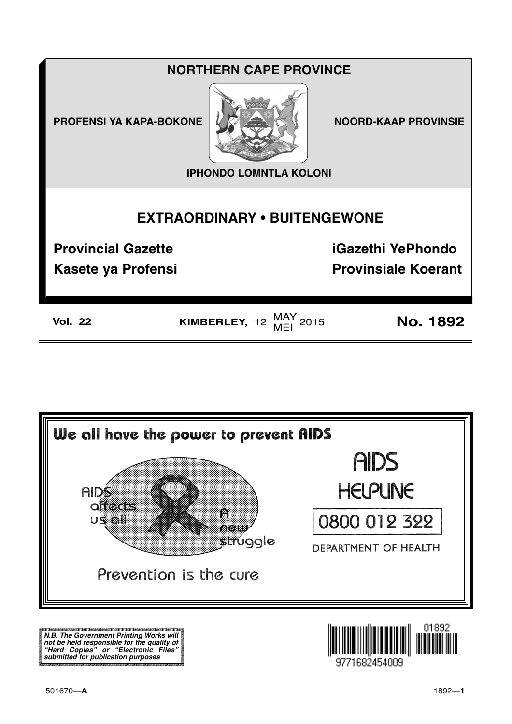**PROFENSI YA KAPA-BOKONE NOORD-KAAP PROVINSIE** 



**IPHONDO LOMNTLA KOLONI**

## **EXTRAORDINARY • BUITENGEWONE**

**Provincial Gazette iGazethi YePhondo**

**Kasete ya Profensi Provinsiale Koerant** 

**Vol. 22 KIMBERLEY,** 12  $\frac{\text{MAY}}{\text{MEI}}$  2015 **No. 1892** 



**N.B. The Government Printing Works will not be held responsible for the quality of "Hard Copies" or "Electronic Files" submitted for publication purposes**

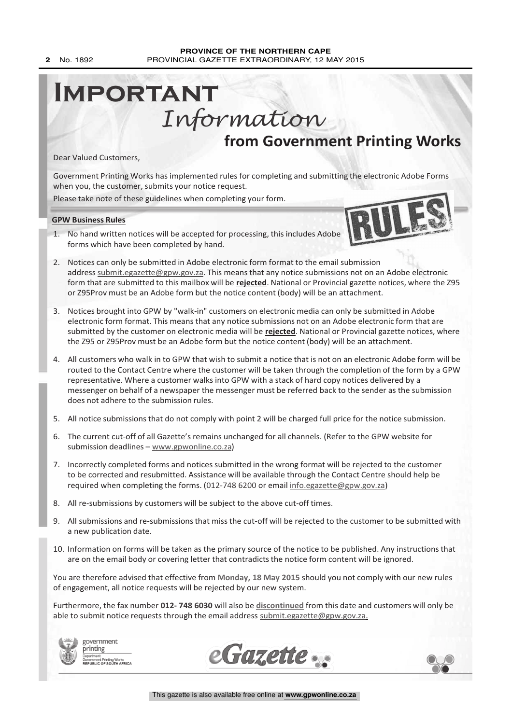# **from Government Printing Works Important** Information

Dear Valued Customers,

Government Printing Works has implemented rules for completing and submitting the electronic Adobe Forms when you, the customer, submits your notice request.

Please take note of these guidelines when completing your form.

**GPW Business Rules**

- 1. No hand written notices will be accepted for processing, this includes Adobe forms which have been completed by hand.
- 2. Notices can only be submitted in Adobe electronic form format to the email submission address submit.egazette@gpw.gov.za. This means that any notice submissions not on an Adobe electronic form that are submitted to this mailbox will be **rejected**. National or Provincial gazette notices, where the Z95 or Z95Prov must be an Adobe form but the notice content (body) will be an attachment.
- 3. Notices brought into GPW by "walk-in" customers on electronic media can only be submitted in Adobe electronic form format. This means that any notice submissions not on an Adobe electronic form that are submitted by the customer on electronic media will be **rejected**. National or Provincial gazette notices, where the Z95 or Z95Prov must be an Adobe form but the notice content (body) will be an attachment.
- 4. All customers who walk in to GPW that wish to submit a notice that is not on an electronic Adobe form will be routed to the Contact Centre where the customer will be taken through the completion of the form by a GPW representative. Where a customer walks into GPW with a stack of hard copy notices delivered by a messenger on behalf of a newspaper the messenger must be referred back to the sender as the submission does not adhere to the submission rules.
- 5. All notice submissions that do not comply with point 2 will be charged full price for the notice submission.
- 6. The current cut-off of all Gazette's remains unchanged for all channels. (Refer to the GPW website for submission deadlines – www.gpwonline.co.za)
- 7. Incorrectly completed forms and notices submitted in the wrong format will be rejected to the customer to be corrected and resubmitted. Assistance will be available through the Contact Centre should help be required when completing the forms. (012-748 6200 or email info.egazette@gpw.gov.za)
- 8. All re-submissions by customers will be subject to the above cut-off times.
- 9. All submissions and re-submissions that miss the cut-off will be rejected to the customer to be submitted with a new publication date.
- 10. Information on forms will be taken as the primary source of the notice to be published. Any instructions that are on the email body or covering letter that contradicts the notice form content will be ignored.

You are therefore advised that effective from **Monday, 18 May 2015** should you not comply with our new rules of engagement, all notice requests will be rejected by our new system.

Furthermore, the fax number **012- 748 6030** will also be **discontinued** from this date and customers will only be able to submit notice requests through the email address submit.egazette@gpw.gov.za.









IRU LEEKS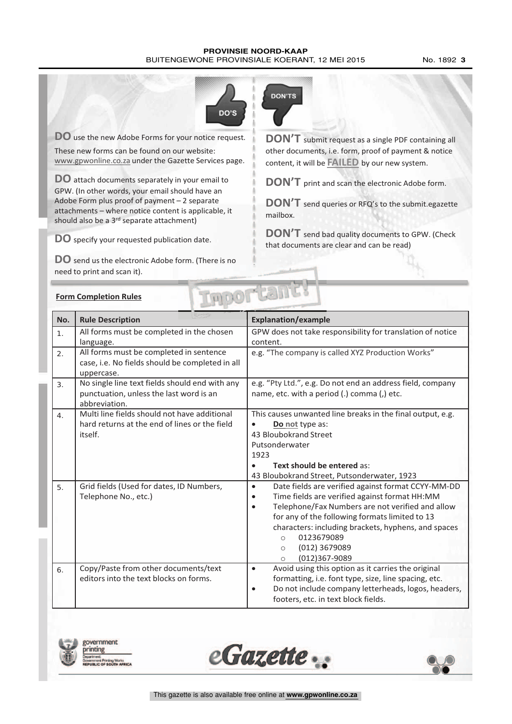#### **PROVINSIE NOORD-KAAP** BUITENGEWONE PROVINSIALE KOERANT, 12 MEI 2015 No. 1892 3



**DO** use the new Adobe Forms for your notice request. These new forms can be found on our website: www.gpwonline.co.za under the Gazette Services page.

**DO** attach documents separately in your email to GPW. (In other words, your email should have an Adobe Form plus proof of payment – 2 separate attachments – where notice content is applicable, it should also be a 3<sup>rd</sup> separate attachment)

**DO** specify your requested publication date.

**DO** send us the electronic Adobe form. (There is no need to print and scan it).



**DON'T** submit request as <sup>a</sup> single PDF containing all other documents, i.e. form, proof of payment & notice content, it will be **FAILED** by our new system.

**DON'T** print and scan the electronic Adobe form.

**DON'T** send queries or RFQ's to the submit.egazette mailbox.

**DON'T** send bad quality documents to GPW. (Check that documents are clear and can be read)

| <b>Form Completion Rules</b> |  |
|------------------------------|--|
|                              |  |

| PDOP Car<br><b>Form Completion Rules</b> |                                                                                                            |                                                                                                                                                                                                                                                                                                                                                                                          |  |  |  |
|------------------------------------------|------------------------------------------------------------------------------------------------------------|------------------------------------------------------------------------------------------------------------------------------------------------------------------------------------------------------------------------------------------------------------------------------------------------------------------------------------------------------------------------------------------|--|--|--|
| No.                                      | <b>Rule Description</b>                                                                                    | <b>Explanation/example</b>                                                                                                                                                                                                                                                                                                                                                               |  |  |  |
| $\mathbf{1}$ .                           | All forms must be completed in the chosen<br>language.                                                     | GPW does not take responsibility for translation of notice<br>content.                                                                                                                                                                                                                                                                                                                   |  |  |  |
| 2.                                       | All forms must be completed in sentence<br>case, i.e. No fields should be completed in all<br>uppercase.   | e.g. "The company is called XYZ Production Works"                                                                                                                                                                                                                                                                                                                                        |  |  |  |
| 3 <sub>1</sub>                           | No single line text fields should end with any<br>punctuation, unless the last word is an<br>abbreviation. | e.g. "Pty Ltd.", e.g. Do not end an address field, company<br>name, etc. with a period (.) comma (,) etc.                                                                                                                                                                                                                                                                                |  |  |  |
| 4.                                       | Multi line fields should not have additional<br>hard returns at the end of lines or the field<br>itself.   | This causes unwanted line breaks in the final output, e.g.<br>Do not type as:<br>43 Bloubokrand Street<br>Putsonderwater<br>1923<br>Text should be entered as:<br>43 Bloubokrand Street, Putsonderwater, 1923                                                                                                                                                                            |  |  |  |
| 5.                                       | Grid fields (Used for dates, ID Numbers,<br>Telephone No., etc.)                                           | Date fields are verified against format CCYY-MM-DD<br>$\bullet$<br>Time fields are verified against format HH:MM<br>$\bullet$<br>Telephone/Fax Numbers are not verified and allow<br>$\bullet$<br>for any of the following formats limited to 13<br>characters: including brackets, hyphens, and spaces<br>0123679089<br>$\circ$<br>(012) 3679089<br>$\circ$<br>(012)367-9089<br>$\circ$ |  |  |  |
| 6.                                       | Copy/Paste from other documents/text<br>editors into the text blocks on forms.                             | Avoid using this option as it carries the original<br>$\bullet$<br>formatting, i.e. font type, size, line spacing, etc.<br>Do not include company letterheads, logos, headers,<br>$\bullet$<br>footers, etc. in text block fields.                                                                                                                                                       |  |  |  |





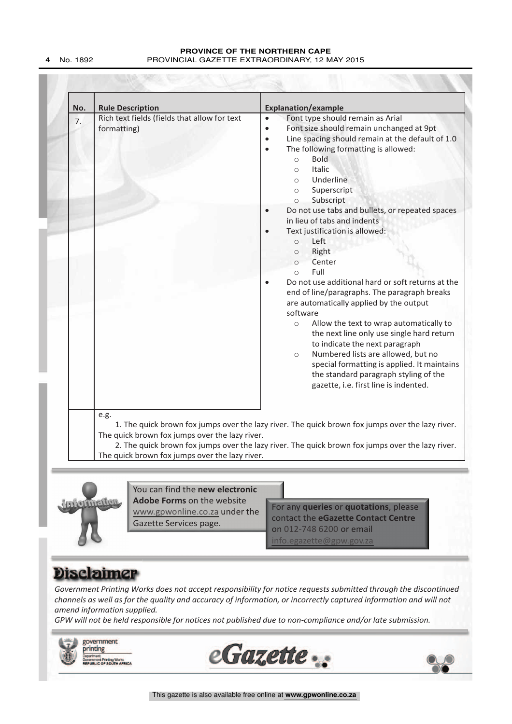| Font type should remain as Arial<br>$\bullet$<br>Font size should remain unchanged at 9pt<br>$\bullet$<br>Line spacing should remain at the default of 1.0<br>$\bullet$<br>The following formatting is allowed:<br>$\bullet$<br><b>Bold</b><br>$\circ$<br><b>Italic</b><br>$\circ$<br>Underline<br>$\circ$<br>Superscript<br>$\circ$<br>Subscript<br>$\circ$<br>Do not use tabs and bullets, or repeated spaces<br>$\bullet$<br>in lieu of tabs and indents                                                                                                                                        |
|----------------------------------------------------------------------------------------------------------------------------------------------------------------------------------------------------------------------------------------------------------------------------------------------------------------------------------------------------------------------------------------------------------------------------------------------------------------------------------------------------------------------------------------------------------------------------------------------------|
| Text justification is allowed:<br>Left<br>$\circ$<br>Right<br>$\circ$<br>Center<br>$\circ$<br>Full<br>$\bigcap$<br>Do not use additional hard or soft returns at the<br>end of line/paragraphs. The paragraph breaks<br>are automatically applied by the output<br>software<br>Allow the text to wrap automatically to<br>$\circ$<br>the next line only use single hard return<br>to indicate the next paragraph<br>Numbered lists are allowed, but no<br>$\circ$<br>special formatting is applied. It maintains<br>the standard paragraph styling of the<br>gazette, i.e. first line is indented. |
| 1. The quick brown fox jumps over the lazy river. The quick brown fox jumps over the lazy river.                                                                                                                                                                                                                                                                                                                                                                                                                                                                                                   |



You can find the **new electronic Adobe Forms** on the website www.gpwonline.co.za under the Gazette Services page.

For any queries or quotations, please<br>
Marinellion<br>
Marinellion<br>
Sazette Services page.<br>
The Casette Contact the eGazette Contact Centre<br>
on 012-748 6200 or email<br>
Info.egazette@gpw.gov.za For any **queries** or **quotations**, please contact the **eGazette Contact Centre** on 012-748 6200 or email  $info.egazette@gpw.gov.z$ 

*Government Printing Works does not accept responsibility for notice requests submitted through the discontinued channels as well as for the quality and accuracy of information, or incorrectly captured information and will not amend information supplied.*

*GPW will not be held responsible for notices not published due to non-compliance and/or late submission.*



This gazette is also available free online at **www.gpwonline.co.za**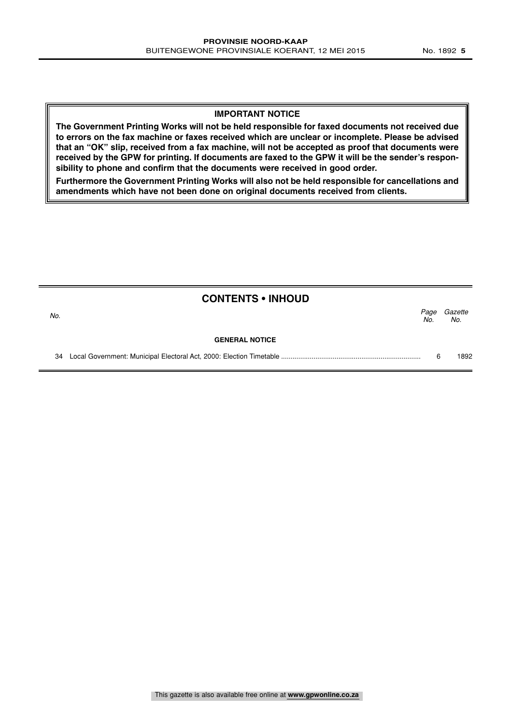#### **IMPORTANT NOTICE**

**The Government Printing Works will not be held responsible for faxed documents not received due to errors on the fax machine or faxes received which are unclear or incomplete. Please be advised that an "OK" slip, received from a fax machine, will not be accepted as proof that documents were received by the GPW for printing. If documents are faxed to the GPW it will be the sender's responsibility to phone and confirm that the documents were received in good order.**

**Furthermore the Government Printing Works will also not be held responsible for cancellations and amendments which have not been done on original documents received from clients.**

|     | <b>CONTENTS • INHOUD</b> |             |                |
|-----|--------------------------|-------------|----------------|
| No. |                          | Page<br>No. | Gazette<br>No. |
|     | <b>GENERAL NOTICE</b>    |             |                |
| 34  |                          |             | 1892           |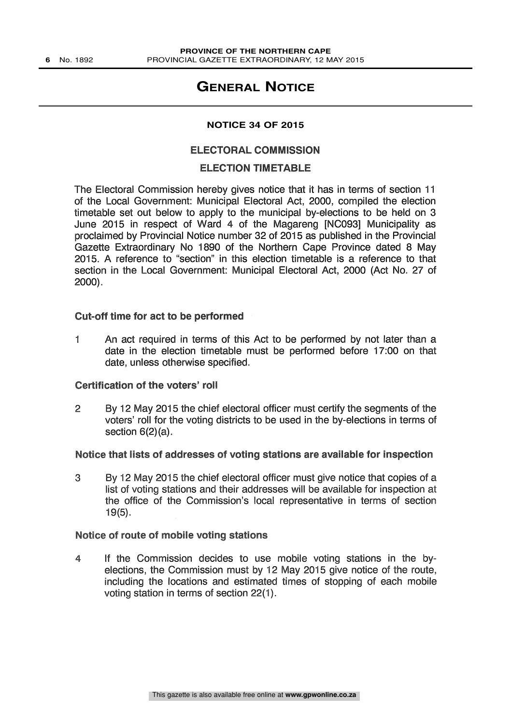### **GENERAL NOTICE**

#### **NOTICE 34 OF 2015**

#### ELECTORAL COMMISSION

#### ELECTION TIMETABLE

The Electoral Commission hereby gives notice that it has in terms of section 11 of the Local Government: Municipal Electoral Act, 2000, compiled the election timetable set out below to apply to the municipal by-elections to be held on 3 June 2015 in respect of Ward 4 of the Magareng [NC093] Municipality as proclaimed by Provincial Notice number 32 of 2015 as published in the Provincial Gazette Extraordinary No 1890 of the Northern Cape Province dated 8 May 2015. A reference to "section" in this election timetable is a reference to that section in the Local Government: Municipal Electoral Act, 2000 (Act No. 27 of 2000).

#### Cut-off time for act to be performed

1 An act required in terms of this Act to be performed by not later than a date in the election timetable must be performed before 17:00 on that date, unless otherwise specified.

#### Certification of the voters' roll

2 By 12 May 2015 the chief electoral officer must certify the segments of the voters' roll for the voting districts to be used in the by-elections in terms of section 6(2)(a).

#### Notice that lists of addresses of voting stations are available for inspection

3 By 12 May 2015 the chief electoral officer must give notice that copies of a list of voting stations and their addresses will be available for inspection at the office of the Commission's local representative in terms of section 19(5).

#### Notice of route of mobile voting stations

4 If the Commission decides to use mobile voting stations in the byelections, the Commission must by 12 May 2015 give notice of the route, including the locations and estimated times of stopping of each mobile voting station in terms of section 22(1).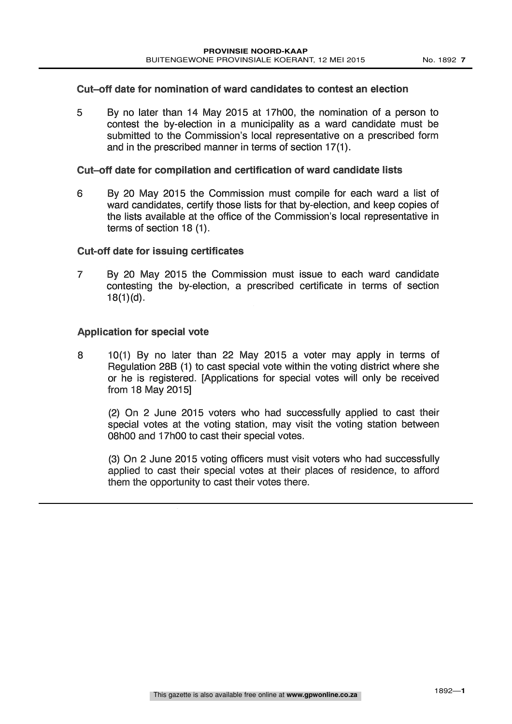#### Cut-off date for nomination of ward candidates to contest an election

5 By no later than 14 May 2015 at 17h00, the nomination of a person to contest the by-election in a municipality as a ward candidate must be submitted to the Commission's local representative on a prescribed form and in the prescribed manner in terms of section 17(1).

#### Cut-off date for compilation and certification of ward candidate lists

6 By 20 May 2015 the Commission must compile for each ward a list of ward candidates, certify those lists for that by-election, and keep copies of the lists available at the office of the Commission's local representative in terms of section 18 (1).

#### Cut-off date for issuing certificates

7 By 20 May 2015 the Commission must issue to each ward candidate contesting the by-election, a prescribed certificate in terms of section 18(1)(d).

### Application for special vote

8 10(1) By no later than 22 May 2015 a voter may apply in terms of Regulation 28B (1) to cast special vote within the voting district where she or he is registered. [Applications for special votes will only be received from 18 May 2015]

(2) On 2 June 2015 voters who had successfully applied to cast their special votes at the voting station, may visit the voting station between 08h00 and 17h00 to cast their special votes.

(3) On 2 June 2015 voting officers must visit voters who had successfully applied to cast their special votes at their places of residence, to afford them the opportunity to cast their votes there.